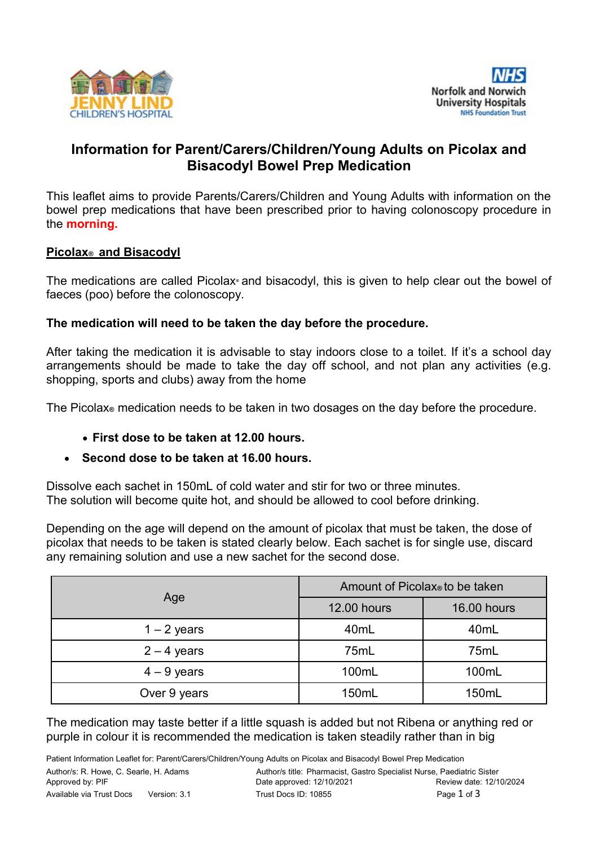



# **Information for Parent/Carers/Children/Young Adults on Picolax and Bisacodyl Bowel Prep Medication**

This leaflet aims to provide Parents/Carers/Children and Young Adults with information on the bowel prep medications that have been prescribed prior to having colonoscopy procedure in the **morning.**

#### **Picolax ® and Bisacodyl**

The medications are called Picolax**®** and bisacodyl, this is given to help clear out the bowel of faeces (poo) before the colonoscopy.

### **The medication will need to be taken the day before the procedure.**

After taking the medication it is advisable to stay indoors close to a toilet. If it's a school day arrangements should be made to take the day off school, and not plan any activities (e.g. shopping, sports and clubs) away from the home

The Picolax**®** medication needs to be taken in two dosages on the day before the procedure.

**First dose to be taken at 12.00 hours.**

#### **Second dose to be taken at 16.00 hours.**

Dissolve each sachet in 150mL of cold water and stir for two or three minutes. The solution will become quite hot, and should be allowed to cool before drinking.

Depending on the age will depend on the amount of picolax that must be taken, the dose of picolax that needs to be taken is stated clearly below. Each sachet is for single use, discard any remaining solution and use a new sachet for the second dose.

| Age           | Amount of Picolax to be taken |                    |
|---------------|-------------------------------|--------------------|
|               | <b>12.00 hours</b>            | <b>16.00 hours</b> |
| $1 - 2$ years | 40mL                          | 40mL               |
| $2 - 4$ years | 75mL                          | 75mL               |
| $4 - 9$ years | 100mL                         | 100mL              |
| Over 9 years  | 150mL                         | 150mL              |

The medication may taste better if a little squash is added but not Ribena or anything red or purple in colour it is recommended the medication is taken steadily rather than in big

Patient Information Leaflet for: Parent/Carers/Children/Young Adults on Picolax and Bisacodyl Bowel Prep Medication Author/s: R. Howe, C. Searle, H. Adams **Author/s title: Pharmacist, Gastro Specialist Nurse**, Paediatric Sister Approved by: PIF Date approved: 12/10/2021 Review date: 12/10/2024 Available via Trust Docs Version: 3.1 Trust Docs ID: 10855 **Page 1 of 3 Page 1 of 3**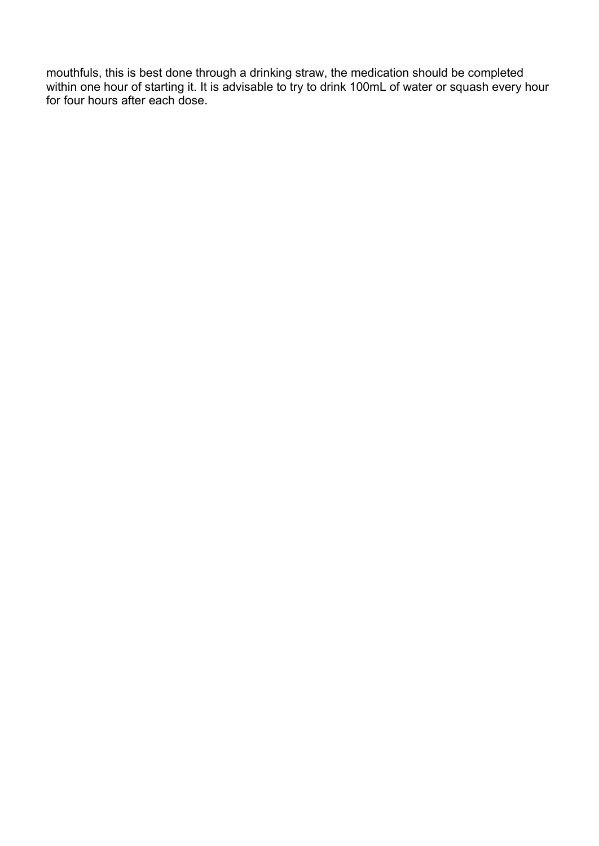mouthfuls, this is best done through a drinking straw, the medication should be completed within one hour of starting it. It is advisable to try to drink 100mL of water or squash every hour for four hours after each dose.